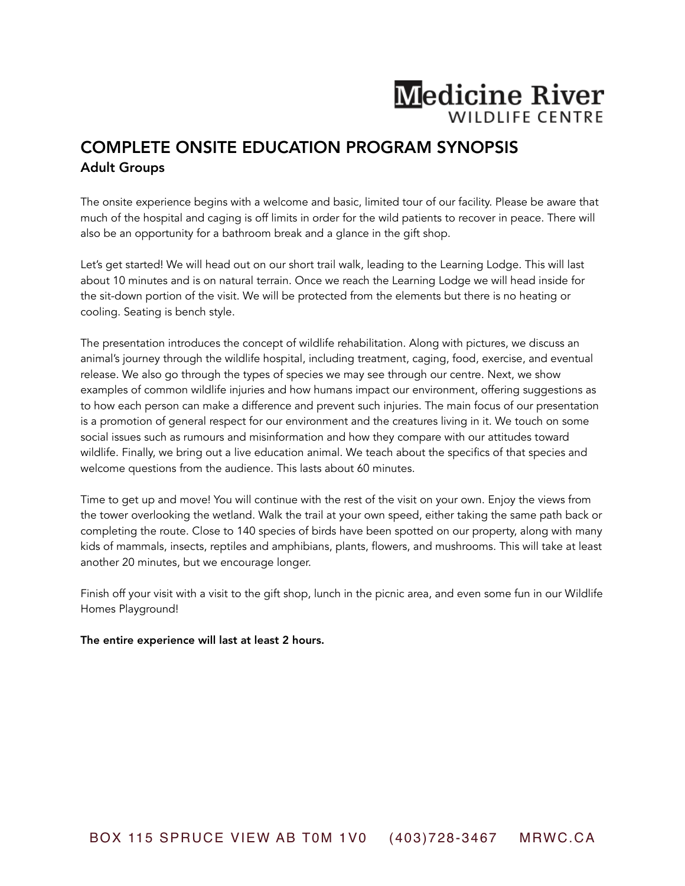## **Medicine River WILDLIFE CENTRE**

## COMPLETE ONSITE EDUCATION PROGRAM SYNOPSIS Adult Groups

The onsite experience begins with a welcome and basic, limited tour of our facility. Please be aware that much of the hospital and caging is off limits in order for the wild patients to recover in peace. There will also be an opportunity for a bathroom break and a glance in the gift shop.

Let's get started! We will head out on our short trail walk, leading to the Learning Lodge. This will last about 10 minutes and is on natural terrain. Once we reach the Learning Lodge we will head inside for the sit-down portion of the visit. We will be protected from the elements but there is no heating or cooling. Seating is bench style.

The presentation introduces the concept of wildlife rehabilitation. Along with pictures, we discuss an animal's journey through the wildlife hospital, including treatment, caging, food, exercise, and eventual release. We also go through the types of species we may see through our centre. Next, we show examples of common wildlife injuries and how humans impact our environment, offering suggestions as to how each person can make a difference and prevent such injuries. The main focus of our presentation is a promotion of general respect for our environment and the creatures living in it. We touch on some social issues such as rumours and misinformation and how they compare with our attitudes toward wildlife. Finally, we bring out a live education animal. We teach about the specifics of that species and welcome questions from the audience. This lasts about 60 minutes.

Time to get up and move! You will continue with the rest of the visit on your own. Enjoy the views from the tower overlooking the wetland. Walk the trail at your own speed, either taking the same path back or completing the route. Close to 140 species of birds have been spotted on our property, along with many kids of mammals, insects, reptiles and amphibians, plants, flowers, and mushrooms. This will take at least another 20 minutes, but we encourage longer.

Finish off your visit with a visit to the gift shop, lunch in the picnic area, and even some fun in our Wildlife Homes Playground!

## The entire experience will last at least 2 hours.